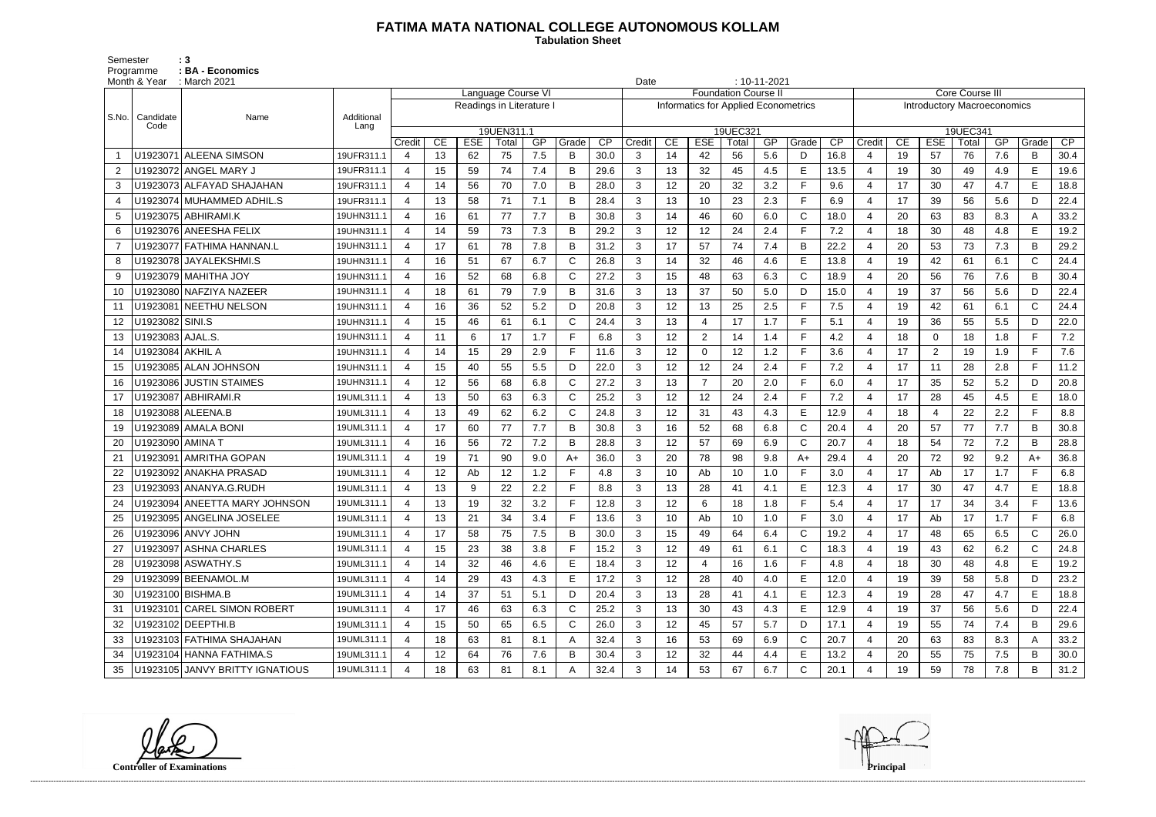## **FATIMA MATA NATIONAL COLLEGE AUTONOMOUS KOLLAM**

 **Tabulation Sheet** 

Semester : 3 Programme : **BA - Economics** 

|       | Month & Year       | : March 2021                    | $: 10 - 11 - 2021$<br>Date |                       |    |                          |                    |     |              |      |                |    |                                      |                            |     |              |      |                                    |    |                |          |     |              |                 |
|-------|--------------------|---------------------------------|----------------------------|-----------------------|----|--------------------------|--------------------|-----|--------------|------|----------------|----|--------------------------------------|----------------------------|-----|--------------|------|------------------------------------|----|----------------|----------|-----|--------------|-----------------|
|       |                    |                                 |                            |                       |    |                          | Language Course VI |     |              |      |                |    |                                      | <b>Foundation Course I</b> |     |              |      | <b>Core Course III</b>             |    |                |          |     |              |                 |
| S.No. | Candidate          | Name                            | Additional                 |                       |    | Readings in Literature I |                    |     |              |      |                |    | Informatics for Applied Econometrics |                            |     |              |      | <b>Introductory Macroeconomics</b> |    |                |          |     |              |                 |
|       | Code               |                                 | Lang                       |                       |    |                          | 19UEN311.1         |     |              |      |                |    |                                      | 19UEC321                   |     |              |      |                                    |    |                | 19UEC341 |     |              |                 |
|       |                    |                                 |                            | Credit                | CE | <b>ESE</b>               | Total              | GP  | Grade        | CP   | Credit         | CE | <b>ESE</b>                           | Total                      | GP  | Grade        | CP   | Credit                             | CE | <b>ESE</b>     | Total    | GP  | Grade        | $\overline{CP}$ |
|       |                    | U1923071 ALEENA SIMSON          | 19UFR311.1                 | 4                     | 13 | 62                       | 75                 | 7.5 | B            | 30.0 | 3              | 14 | 42                                   | 56                         | 5.6 | D            | 16.8 | 4                                  | 19 | 57             | 76       | 7.6 | B            | 30.4            |
| 2     |                    | U1923072 ANGEL MARY J           | 19UFR311.1                 | 4                     | 15 | 59                       | 74                 | 7.4 | в            | 29.6 | 3              | 13 | 32                                   | 45                         | 4.5 | E            | 13.5 | $\overline{4}$                     | 19 | 30             | 49       | 4.9 | E            | 19.6            |
| 3     |                    | U1923073 ALFAYAD SHAJAHAN       | 19UFR311.1                 | 4                     | 14 | 56                       | 70                 | 7.0 | B            | 28.0 | 3              | 12 | 20                                   | 32                         | 3.2 | E            | 9.6  | 4                                  | 17 | 30             | 47       | 4.7 | E            | 18.8            |
| 4     |                    | U1923074   MUHAMMED ADHIL.S     | 19UFR311.1                 | 4                     | 13 | 58                       | 71                 | 7.1 | B            | 28.4 | 3              | 13 | 10                                   | 23                         | 2.3 | F            | 6.9  | $\overline{4}$                     | 17 | 39             | 56       | 5.6 | D            | 22.4            |
| 5     |                    | U1923075   ABHIRAMI.K           | 19UHN311.1                 | $\overline{4}$        | 16 | 61                       | 77                 | 7.7 | B            | 30.8 | 3              | 14 | 46                                   | 60                         | 6.0 | $\mathsf{C}$ | 18.0 | $\overline{4}$                     | 20 | 63             | 83       | 8.3 | A            | 33.2            |
| 6     |                    | U1923076 ANEESHA FELIX          | 19UHN311.1                 | 4                     | 14 | 59                       | 73                 | 7.3 | B            | 29.2 | 3              | 12 | 12                                   | 24                         | 2.4 | E            | 7.2  | $\overline{4}$                     | 18 | 30             | 48       | 4.8 | E            | 19.2            |
| 7     |                    | U1923077 FATHIMA HANNAN.L       | 19UHN311.1                 | $\overline{4}$        | 17 | 61                       | 78                 | 7.8 | B            | 31.2 | 3              | 17 | 57                                   | 74                         | 7.4 | B            | 22.2 | $\overline{4}$                     | 20 | 53             | 73       | 7.3 | B            | 29.2            |
| 8     |                    | U1923078 JAYALEKSHMI.S          | 19UHN311.1                 | 4                     | 16 | 51                       | 67                 | 6.7 | $\mathsf{C}$ | 26.8 | 3              | 14 | 32                                   | 46                         | 4.6 | E            | 13.8 | $\overline{4}$                     | 19 | 42             | 61       | 6.1 | $\mathsf{C}$ | 24.4            |
| 9     |                    | U1923079 MAHITHA JOY            | 19UHN311.1                 | $\overline{4}$        | 16 | 52                       | 68                 | 6.8 | C            | 27.2 | 3              | 15 | 48                                   | 63                         | 6.3 | $\mathsf{C}$ | 18.9 | $\overline{4}$                     | 20 | 56             | 76       | 7.6 | B            | 30.4            |
| 10    |                    | U1923080 NAFZIYA NAZEER         | 19UHN311.1                 | 4                     | 18 | 61                       | 79                 | 7.9 | B            | 31.6 | $\mathbf{3}$   | 13 | 37                                   | 50                         | 5.0 | D            | 15.0 | $\overline{4}$                     | 19 | 37             | 56       | 5.6 | D            | 22.4            |
| 11    |                    | U1923081 NEETHU NELSON          | 19UHN311.1                 | 4                     | 16 | 36                       | 52                 | 5.2 | D.           | 20.8 | 3              | 12 | 13                                   | 25                         | 2.5 | E            | 7.5  | $\overline{4}$                     | 19 | 42             | 61       | 6.1 | C            | 24.4            |
| 12    | U1923082 SINI.S    |                                 | 19UHN311.1                 | $\boldsymbol{4}$      | 15 | 46                       | 61                 | 6.1 | C            | 24.4 | 3              | 13 |                                      | 17                         | 1.7 | E            | 5.1  | $\overline{4}$                     | 19 | 36             | 55       | 5.5 | D            | 22.0            |
| 13    | U1923083   AJAL.S. |                                 | 19UHN311.1                 | 4                     | 11 | 6                        | 17                 | 1.7 | F.           | 6.8  | $\mathbf{3}$   | 12 | $\overline{2}$                       | 14                         | 1.4 | $\mathsf{F}$ | 4.2  | 4                                  | 18 | $\mathbf 0$    | 18       | 1.8 | F            | 7.2             |
| 14    | U1923084   AKHIL A |                                 | 19UHN311.1                 | $\overline{4}$        | 14 | 15                       | 29                 | 2.9 |              | 11.6 | 3              | 12 | 0                                    | 12                         | 1.2 | E            | 3.6  | $\overline{4}$                     | 17 | $\overline{2}$ | 19       | 1.9 | F.           | 7.6             |
| 15    |                    | U1923085 ALAN JOHNSON           | 19UHN311.1                 | 4                     | 15 | 40                       | 55                 | 5.5 | D            | 22.0 | 3              | 12 | 12                                   | 24                         | 2.4 | E            | 7.2  | $\overline{4}$                     | 17 | 11             | 28       | 2.8 | F.           | 11.2            |
| 16    |                    | U1923086 JUSTIN STAIMES         | 19UHN311.1                 | 4                     | 12 | 56                       | 68                 | 6.8 | C            | 27.2 | 3              | 13 |                                      | 20                         | 2.0 | F            | 6.0  | $\overline{4}$                     | 17 | 35             | 52       | 5.2 | D            | 20.8            |
| 17    |                    | U1923087 ABHIRAMI.R             | 19UML311.1                 | 4                     | 13 | 50                       | 63                 | 6.3 | C            | 25.2 | 3              | 12 | 12                                   | 24                         | 2.4 | F            | 7.2  | $\overline{4}$                     | 17 | 28             | 45       | 4.5 | E            | 18.0            |
| 18    |                    | U1923088 ALEENA.B               | 19UML311.1                 | 4                     | 13 | 49                       | 62                 | 6.2 | $\mathsf{C}$ | 24.8 | 3              | 12 | 31                                   | 43                         | 4.3 | E            | 12.9 | $\overline{4}$                     | 18 | $\overline{4}$ | 22       | 2.2 | F            | 8.8             |
| 19    |                    | U1923089 AMALA BONI             | 19UML311.1                 | $\overline{4}$        | 17 | 60                       | 77                 | 7.7 | B            | 30.8 | 3              | 16 | 52                                   | 68                         | 6.8 | $\mathsf{C}$ | 20.4 | $\overline{4}$                     | 20 | 57             | 77       | 7.7 | B            | 30.8            |
| 20    | U1923090   AMINA T |                                 | 19UML311.1                 | 4                     | 16 | 56                       | 72                 | 7.2 | B            | 28.8 | 3              | 12 | 57                                   | 69                         | 6.9 | $\mathsf{C}$ | 20.7 | 4                                  | 18 | 54             | 72       | 7.2 | B            | 28.8            |
| 21    |                    | U1923091   AMRITHA GOPAN        | 19UML311.1                 | $\boldsymbol{4}$      | 19 | 71                       | 90                 | 9.0 | $A+$         | 36.0 | 3              | 20 | 78                                   | 98                         | 9.8 | $A+$         | 29.4 | $\overline{4}$                     | 20 | 72             | 92       | 9.2 | A+           | 36.8            |
|       |                    | U1923092 ANAKHA PRASAD          | 19UML311.1                 | $\boldsymbol{4}$      | 12 | Ab                       | 12                 | 1.2 |              | 4.8  | 3              | 10 | Ab                                   | 10                         | 1.0 | F            | 3.0  | $\overline{4}$                     | 17 | Ab             | 17       | 1.7 | F.           | 6.8             |
| 23    |                    | U1923093 ANANYA.G.RUDH          | 19UML311.1                 | $\overline{4}$        | 13 | 9                        | 22                 | 2.2 | F            | 8.8  | 3              | 13 | 28                                   | 41                         | 4.1 | Е            | 12.3 | $\overline{4}$                     | 17 | 30             | 47       | 4.7 | E            | 18.8            |
| 24    |                    | U1923094 ANEETTA MARY JOHNSON   | 19UML311.1                 | $\boldsymbol{\Delta}$ | 13 | 19                       | 32                 | 3.2 |              | 12.8 | 3              | 12 | 6                                    | 18                         | 1.8 | E            | 5.4  | $\overline{4}$                     | 17 | 17             | 34       | 3.4 | F.           | 13.6            |
|       |                    | U1923095 ANGELINA JOSELEE       | 19UML311.1                 | 4                     | 13 | 21                       | 34                 | 3.4 |              | 13.6 | 3              | 10 | Ab                                   | 10                         | 1.0 | F            | 3.0  | 4                                  | 17 | Ab             | 17       | 1.7 | $\mathsf F$  | 6.8             |
| 26    |                    | U1923096 ANVY JOHN              | 19UML311.1                 | 4                     | 17 | 58                       | 75                 | 7.5 | B            | 30.0 | 3              | 15 | 49                                   | 64                         | 6.4 | C            | 19.2 | 4                                  | 17 | 48             | 65       | 6.5 | $\mathsf{C}$ | 26.0            |
| 27    |                    | U1923097 ASHNA CHARLES          | 19UML311.1                 | $\overline{4}$        | 15 | 23                       | 38                 | 3.8 |              | 15.2 | 3              | 12 | 49                                   | 61                         | 6.1 | $\mathsf{C}$ | 18.3 | 4                                  | 19 | 43             | 62       | 6.2 | C            | 24.8            |
| 28    |                    | U1923098 ASWATHY.S              | 19UML311.1                 | 4                     | 14 | 32                       | 46                 | 4.6 | E            | 18.4 | $\mathbf{3}$   | 12 | 4                                    | 16                         | 1.6 | F            | 4.8  | 4                                  | 18 | 30             | 48       | 4.8 | Е            | 19.2            |
| 29    |                    | U1923099 BEENAMOL.M             | 19UML311.1                 | 4                     | 14 | 29                       | 43                 | 4.3 | E.           | 17.2 | 3              | 12 | 28                                   | 40                         | 4.0 | E            | 12.0 | 4                                  | 19 | 39             | 58       | 5.8 | D            | 23.2            |
| 30    |                    | U1923100 BISHMA.B               | 19UML311.1                 | 4                     | 14 | 37                       | 51                 | 5.1 | D            | 20.4 | 3              | 13 | 28                                   | 41                         | 4.1 | E            | 12.3 | 4                                  | 19 | 28             | 47       | 4.7 | E            | 18.8            |
| 31    |                    | U1923101 CAREL SIMON ROBERT     | 19UML311.1                 | 4                     | 17 | 46                       | 63                 | 6.3 | C.           | 25.2 | 3              | 13 | 30                                   | 43                         | 4.3 | Е            | 12.9 | 4                                  | 19 | 37             | 56       | 5.6 | D            | 22.4            |
| 32    |                    | U1923102 DEEPTHI.B              | 19UML311.1                 | 4                     | 15 | 50                       | 65                 | 6.5 | C            | 26.0 | 3              | 12 | 45                                   | 57                         | 5.7 | D            | 17.1 | 4                                  | 19 | 55             | 74       | 7.4 | В            | 29.6            |
| 33    |                    | U1923103 FATHIMA SHAJAHAN       | 19UML311.1                 | 4                     | 18 | 63                       | 81                 | 8.1 |              | 32.4 | 3              | 16 | 53                                   | 69                         | 6.9 | C            | 20.7 | 4                                  | 20 | 63             | 83       | 8.3 | A            | 33.2            |
| 34    |                    | U1923104 HANNA FATHIMA.S        | 19UML311.1                 | 4                     | 12 | 64                       | 76                 | 7.6 | В            | 30.4 | 3              | 12 | 32                                   | 44                         | 4.4 | Е            | 13.2 | $\overline{4}$                     | 20 | 55             | 75       | 7.5 | B            | 30.0            |
| 35    |                    | U1923105 JANVY BRITTY IGNATIOUS | 19UML311.1                 | 4                     | 18 | 63                       | 81                 | 8.1 |              | 32.4 | 3 <sup>1</sup> | 14 | 53                                   | 67                         | 6.7 | C            | 20.1 | 4                                  | 19 | 59             | 78       | 7.8 | B            | 31.2            |

**Controller of Examinations Principal**

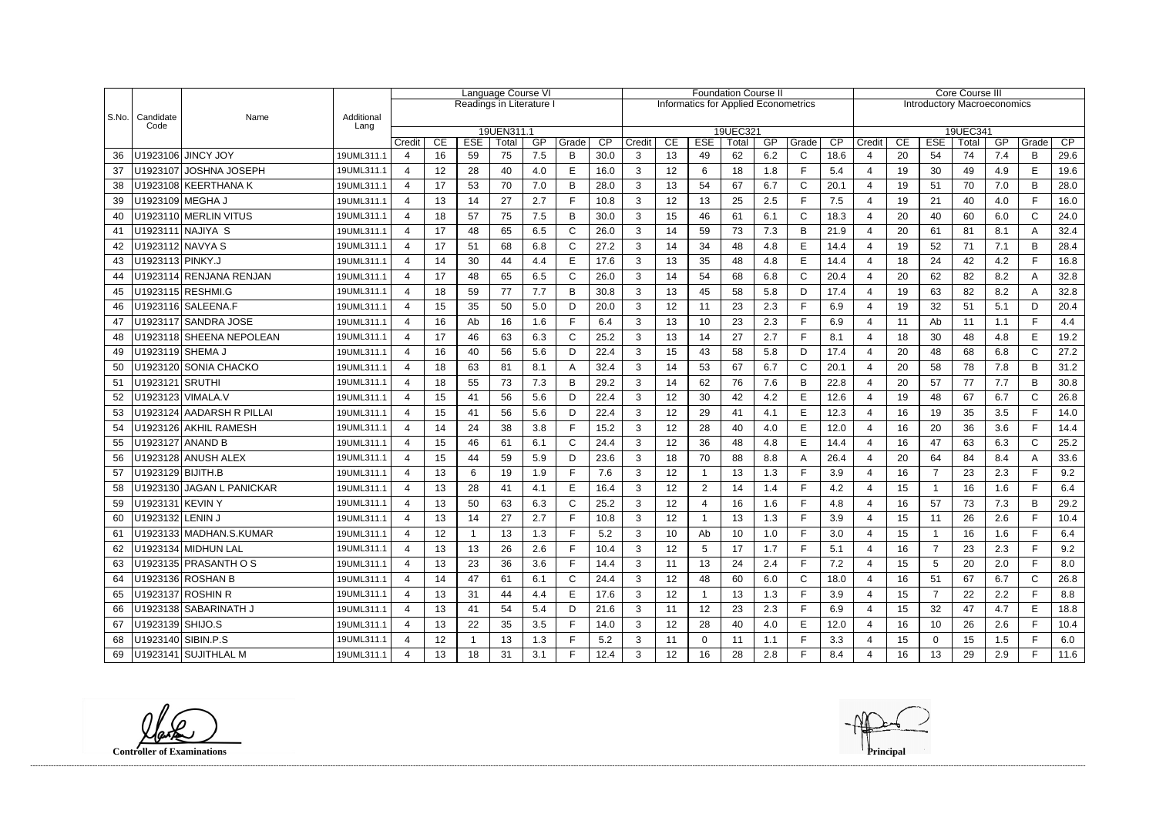|           |                       |                             | Language Course VI |                |                  |              |                          |     |       | <b>Foundation Course II</b> |                                             |    |                |                 |     |             | Core Course III |                          |                                    |                |          |     |              |      |  |
|-----------|-----------------------|-----------------------------|--------------------|----------------|------------------|--------------|--------------------------|-----|-------|-----------------------------|---------------------------------------------|----|----------------|-----------------|-----|-------------|-----------------|--------------------------|------------------------------------|----------------|----------|-----|--------------|------|--|
|           |                       |                             |                    |                |                  |              | Readings in Literature I |     |       |                             | <b>Informatics for Applied Econometrics</b> |    |                |                 |     |             |                 |                          | <b>Introductory Macroeconomics</b> |                |          |     |              |      |  |
| $ $ S.No. | Candidate<br>Code     | Name                        | Additional         |                |                  |              |                          |     |       |                             |                                             |    |                |                 |     |             |                 |                          |                                    |                |          |     |              |      |  |
|           |                       |                             | Lang               |                |                  |              | 19UEN311.1               |     |       |                             |                                             |    |                | 19UEC321        |     |             |                 |                          |                                    |                | 19UEC341 |     |              |      |  |
|           |                       |                             |                    | Credit         | CE               | <b>ESE</b>   | Total                    | GP  | Grade | CP                          | Credit                                      | CE | <b>ESE</b>     | Total           | GP  | Grade       | CP              | Credit                   | CE                                 | <b>ESE</b>     | Total    | GP  | Grade        | CP   |  |
| 36        |                       | U1923106 JINCY JOY          | 19UML311.1         | $\overline{4}$ | 16               | 59           | 75                       | 7.5 | B     | 30.0                        | 3                                           | 13 | 49             | 62              | 6.2 | $\mathbf C$ | 18.6            | 4                        | 20                                 | 54             | 74       | 7.4 | B            | 29.6 |  |
| 37        |                       | U1923107 JOSHNA JOSEPH      | 19UML311.1         | 4              | 12               | 28           | 40                       | 4.0 | E     | 16.0                        | 3                                           | 12 | 6              | 18              | 1.8 | F           | 5.4             | 4                        | 19                                 | 30             | 49       | 4.9 | E            | 19.6 |  |
| 38        |                       | U1923108 KEERTHANA K        | 19UML311.1         | $\overline{a}$ | 17               | 53           | 70                       | 7.0 | B     | 28.0                        | 3                                           | 13 | 54             | 67              | 6.7 | C           | 20.1            | 4                        | 19                                 | 51             | 70       | 7.0 | B            | 28.0 |  |
| 39        | U1923109 MEGHA J      |                             | 19UML311.1         | $\overline{4}$ | 13               | 14           | 27                       | 2.7 | Е     | 10.8                        | 3                                           | 12 | 13             | 25              | 2.5 | F           | 7.5             | 4                        | 19                                 | 21             | 40       | 4.0 | F.           | 16.0 |  |
| 40        |                       | U1923110 MERLIN VITUS       | 19UML311.1         | 4              | 18               | 57           | 75                       | 7.5 | B     | 30.0                        | 3                                           | 15 | 46             | 61              | 6.1 | $\mathsf C$ | 18.3            | $\overline{4}$           | 20                                 | 40             | 60       | 6.0 | $\mathsf{C}$ | 24.0 |  |
| 41        |                       | U1923111 NAJIYA S           | 19UML311.1         | 4              | 17               | 48           | 65                       | 6.5 |       | 26.0                        | 3                                           | 14 | 59             | 73              | 7.3 | B           | 21.9            | $\overline{4}$           | 20                                 | 61             | 81       | 8.1 |              | 32.4 |  |
| 42        |                       | U1923112 NAVYA S            | 19UML311.1         | 4              | 17               | 51           | 68                       | 6.8 | C     | 27.2                        | 3                                           | 14 | 34             | 48              | 4.8 | E           | 14.4            | 4                        | 19                                 | 52             | 71       | 7.1 | B            | 28.4 |  |
| 43        | U1923113 PINKY.J      |                             | 19UML311.1         | 4              | 14               | 30           | 44                       | 4.4 | Е     | 17.6                        | 3                                           | 13 | 35             | 48              | 4.8 | E           | 14.4            | 4                        | 18                                 | 24             | 42       | 4.2 |              | 16.8 |  |
| 44        |                       | U1923114 RENJANA RENJAN     | 19UML311.1         | 4              | 17               | 48           | 65                       | 6.5 | С     | 26.0                        | 3                                           | 14 | 54             | 68              | 6.8 | $\mathsf C$ | 20.4            | 4                        | 20                                 | 62             | 82       | 8.2 | A            | 32.8 |  |
| 45        |                       | U1923115 RESHMI.G           | 19UML311.1         | 4              | 18               | 59           | 77                       | 7.7 | B     | 30.8                        | 3                                           | 13 | 45             | 58              | 5.8 | D           | 17.4            | 4                        | 19                                 | 63             | 82       | 8.2 |              | 32.8 |  |
| 46        |                       |                             | 19UML311.1         | $\overline{4}$ | 15               | 35           | 50                       | 5.0 | D     | 20.0                        | 3                                           | 12 | 11             | 23              | 2.3 | F           | 6.9             | $\overline{4}$           | 19                                 | 32             | 51       | 5.1 | D            | 20.4 |  |
| 47        |                       | U1923117 SANDRA JOSE        | 19UML311.1         | 4              | 16               | Ab           | 16                       | 1.6 | Е     | 6.4                         | 3                                           | 13 | 10             | 23              | 2.3 | F           | 6.9             | 4                        | 11                                 | Ab             | 11       | 1.1 | F.           | 4.4  |  |
| 48        |                       | U1923118 SHEENA NEPOLEAN    | 19UML311.1         | $\overline{4}$ | 17               | 46           | 63                       | 6.3 | C     | 25.2                        | 3                                           | 13 | 14             | 27              | 2.7 | E           | 8.1             | 4                        | 18                                 | 30             | 48       | 4.8 | E            | 19.2 |  |
| 49        | U1923119 SHEMA J      |                             | 19UML311.1         | 4              | 16               | 40           | 56                       | 5.6 | D     | 22.4                        | 3                                           | 15 | 43             | 58              | 5.8 | D           | 17.4            | $\boldsymbol{\Delta}$    | 20                                 | 48             | 68       | 6.8 | $\mathsf{C}$ | 27.2 |  |
| 50        |                       | U1923120 SONIA CHACKO       | 19UML311.1         | 4              | 18               | 63           | 81                       | 8.1 |       | 32.4                        | 3                                           | 14 | 53             | 67              | 6.7 | C           | 20.1            | 4                        | 20                                 | 58             | 78       | 7.8 | B            | 31.2 |  |
| 51        | U1923121   SRUTHI     |                             | 19UML311.1         | $\overline{4}$ | 18               | 55           | 73                       | 7.3 | B     | 29.2                        | 3                                           | 14 | 62             | 76              | 7.6 | B           | 22.8            | $\overline{4}$           | 20                                 | 57             | 77       | 7.7 | B            | 30.8 |  |
| 52        |                       | U1923123 VIMALA.V           | 19UML311.1         | 4              | 15               | 41           | 56                       | 5.6 | D     | 22.4                        | 3                                           | 12 | 30             | 42              | 4.2 | E           | 12.6            |                          | 19                                 | 48             | 67       | 6.7 | $\mathsf{C}$ | 26.8 |  |
| 53        |                       | U1923124 AADARSH R PILLAI   | 19UML311.1         | 4              | 15               | 41           | 56                       | 5.6 | D     | 22.4                        | 3                                           | 12 | 29             | 41              | 4.1 | E           | 12.3            | 4                        | 16                                 | 19             | 35       | 3.5 |              | 14.0 |  |
| 54        |                       | U1923126 AKHIL RAMESH       | 19UML311.1         | $\overline{4}$ | 14               | 24           | 38                       | 3.8 |       | 15.2                        | 3                                           | 12 | 28             | 40              | 4.0 | E           | 12.0            | 4                        | 16                                 | 20             | 36       | 3.6 | F.           | 14.4 |  |
| 55        | U1923127 ANAND B      |                             | 19UML311.1         | 4              | 15               | 46           | 61                       | 6.1 | С     | 24.4                        | 3                                           | 12 | 36             | 48              | 4.8 | E           | 14.4            | 4                        | 16                                 | 47             | 63       | 6.3 | $\mathsf{C}$ | 25.2 |  |
| 56        |                       | U1923128 ANUSH ALEX         | 19UML311.1         | $\overline{4}$ | 15               | 44           | 59                       | 5.9 | D     | 23.6                        | 3                                           | 18 | 70             | 88              | 8.8 | A           | 26.4            | $\overline{\mathbf{4}}$  | 20                                 | 64             | 84       | 8.4 |              | 33.6 |  |
| 57        | U1923129 BIJITH.B     |                             | 19UML311.1         | 4              | 13               | 6            | 19                       | 1.9 | Е     | 7.6                         | 3                                           | 12 |                | 13              | 1.3 | F           | 3.9             | $\overline{4}$           | 16                                 | $\overline{7}$ | 23       | 2.3 | F.           | 9.2  |  |
| 58        |                       | U1923130   JAGAN L PANICKAR | 19UML311.1         | 4              | 13               | 28           | 41                       | 4.1 | Е     | 16.4                        | 3                                           | 12 | $\overline{2}$ | 14              | 1.4 | E           | 4.2             | 4                        | 15                                 |                | 16       | 1.6 | E.           | 6.4  |  |
| 59        | U1923131 KEVIN Y      |                             | 19UML311.1         | 4              | 13               | 50           | 63                       | 6.3 | C     | 25.2                        | 3                                           | 12 |                | 16              | 1.6 | E           | 4.8             |                          | 16                                 | 57             | 73       | 7.3 | B            | 29.2 |  |
|           | 60   U1923132 LENIN J |                             | 19UML311.1         | 4              | 13 <sup>13</sup> | 14           | 27                       | 2.7 | Е     | 10.8                        | З                                           | 12 |                | 13              | 1.3 | Е           | 3.9             | $\boldsymbol{\varDelta}$ | 15                                 | 11             | 26       | 2.6 | Е            | 10.4 |  |
| 61        |                       | U1923133 MADHAN.S.KUMAR     | 19UML311.1         | $\overline{4}$ | 12               | $\mathbf{1}$ | 13                       | 1.3 | F     | 5.2                         | 3                                           | 10 | Ab             | 10 <sup>°</sup> | 1.0 | F           | 3.0             | 4                        | 15                                 |                | 16       | 1.6 | F.           | 6.4  |  |
| 62        |                       | U1923134 MIDHUN LAL         | 19UML311.1         | 4              | 13               | 13           | 26                       | 2.6 |       | 10.4                        | 3                                           | 12 | 5              | 17              | 1.7 | F           | 5.1             | 4                        | 16                                 | $\overline{7}$ | 23       | 2.3 |              | 9.2  |  |
| 63        |                       | U1923135 PRASANTH O S       | 19UML311.1         | 4              | 13               | 23           | 36                       | 3.6 |       | 14.4                        | 3                                           | 11 | 13             | 24              | 2.4 | F           | 7.2             | 4                        | 15 <sub>15</sub>                   | 5              | 20       | 2.0 |              | 8.0  |  |
| 64        |                       | U1923136 ROSHAN B           | 19UML311.1         | $\overline{4}$ | 14               | 47           | 61                       | 6.1 | C     | 24.4                        | 3                                           | 12 | 48             | 60              | 6.0 | C           | 18.0            | 4                        | 16                                 | 51             | 67       | 6.7 | $\mathsf{C}$ | 26.8 |  |
| 65        |                       | U1923137 ROSHIN R           | 19UML311.1         | 4              | 13               | 31           | 44                       | 4.4 | Е     | 17.6                        | 3                                           | 12 |                | 13              | 1.3 | F           | 3.9             | 4                        | $15\,$                             | 7              | 22       | 2.2 |              | 8.8  |  |
| 66        |                       | U1923138 SABARINATH J       | 19UML311.1         | 4              | 13               | 41           | 54                       | 5.4 | D     | 21.6                        | 3                                           | 11 | 12             | 23              | 2.3 | F           | 6.9             | 4                        | 15 <sub>15</sub>                   | 32             | 47       | 4.7 | E.           | 18.8 |  |
| 67        | U1923139 SHIJO.S      |                             | 19UML311.1         | 4              | 13               | 22           | 35                       | 3.5 |       | 14.0                        | 3                                           | 12 | 28             | 40              | 4.0 | E           | 12.0            | 4                        | 16                                 | 10             | 26       | 2.6 |              | 10.4 |  |
| 68        | U1923140 SIBIN.P.S    |                             | 19UML311.1         | 4              | 12               |              | 13                       | 1.3 |       | 5.2                         | 3                                           | 11 | $\mathbf{0}$   | 11              | 1.1 | F           | 3.3             | 4                        | 15 <sub>15</sub>                   | 0              | 15       | 1.5 |              | 6.0  |  |
|           |                       | 69   U1923141   SUJITHLAL M | 19UML311.1         |                | 13               | 18           | 31                       | 3.1 |       | 12.4                        | 3                                           | 12 | 16             | 28              | 2.8 | E           | 8.4             |                          | 16                                 | 13             | 29       | 2.9 | F.           | 11.6 |  |

**Controller of Examinations Principal**

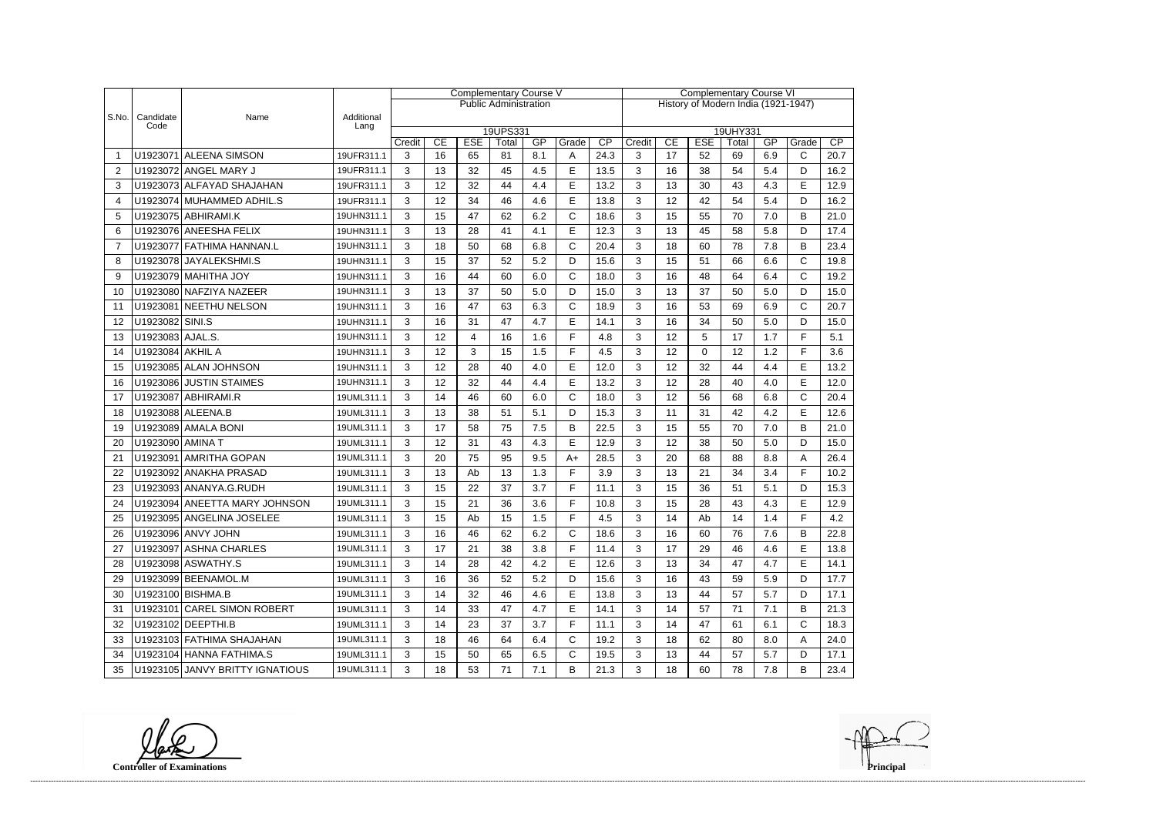|                |                   |                                 |                    | <b>Complementary Course V</b> |                      |                  |                              |           |              |                                     | <b>Complementary Course VI</b> |          |                  |             |     |              |      |  |
|----------------|-------------------|---------------------------------|--------------------|-------------------------------|----------------------|------------------|------------------------------|-----------|--------------|-------------------------------------|--------------------------------|----------|------------------|-------------|-----|--------------|------|--|
|                |                   |                                 |                    |                               |                      |                  | <b>Public Administration</b> |           |              | History of Modern India (1921-1947) |                                |          |                  |             |     |              |      |  |
| S.No.          | Candidate<br>Code | Name                            | Additional<br>Lang |                               |                      |                  |                              |           |              |                                     |                                |          |                  |             |     |              |      |  |
|                |                   |                                 |                    | Credit                        | 19UPS331<br>19UHY331 |                  |                              |           |              |                                     |                                |          |                  |             | GP  | Grade        | CP   |  |
|                |                   | U1923071 ALEENA SIMSON          | 19UFR311.1         | 3                             | CE<br>16             | <b>ESE</b><br>65 | Total<br>81                  | GP<br>8.1 | Grade<br>A   | $\overline{CP}$<br>24.3             | Credit<br>3                    | CE<br>17 | <b>ESE</b><br>52 | Total<br>69 | 6.9 | C            | 20.7 |  |
| $\overline{2}$ |                   | U1923072 ANGEL MARY J           | 19UFR311.1         | 3                             | 13                   | 32               | 45                           | 4.5       | E            | 13.5                                | 3                              | 16       | 38               | 54          | 5.4 | D            | 16.2 |  |
| 3              |                   | U1923073 ALFAYAD SHAJAHAN       | 19UFR311.1         | 3                             | 12                   | 32               | 44                           | 4.4       | E            | 13.2                                | 3                              | 13       | 30               | 43          | 4.3 | E            | 12.9 |  |
| 4              |                   | U1923074 MUHAMMED ADHIL.S       | 19UFR311.1         | 3                             | 12                   | 34               | 46                           | 4.6       | E            | 13.8                                | 3                              | 12       | 42               | 54          | 5.4 | D            | 16.2 |  |
| 5              |                   | U1923075 ABHIRAMI.K             | 19UHN311.1         | 3                             | 15                   | 47               | 62                           | 6.2       | $\mathsf{C}$ | 18.6                                | 3                              | 15       | 55               | 70          | 7.0 | B            | 21.0 |  |
| 6              |                   | U1923076 ANEESHA FELIX          | 19UHN311.1         | 3                             | 13                   | 28               | 41                           | 4.1       | E            | 12.3                                | 3                              | 13       | 45               | 58          | 5.8 | D            | 17.4 |  |
| $\overline{7}$ |                   | U1923077 FATHIMA HANNAN.L       | 19UHN311.1         | 3                             | 18                   | 50               | 68                           | 6.8       | $\mathsf{C}$ | 20.4                                | 3                              | 18       | 60               | 78          | 7.8 | B            | 23.4 |  |
| 8              |                   | U1923078 JAYALEKSHMI.S          | 19UHN311.1         | 3                             | 15                   | 37               | 52                           | 5.2       | D            | 15.6                                | 3                              | 15       | 51               | 66          | 6.6 | C            | 19.8 |  |
| 9              |                   | U1923079 MAHITHA JOY            | 19UHN311.1         | 3                             | 16                   | 44               | 60                           | 6.0       | $\mathsf{C}$ | 18.0                                | 3                              | 16       | 48               | 64          | 6.4 | $\mathsf{C}$ | 19.2 |  |
| 10             |                   | U1923080 NAFZIYA NAZEER         | 19UHN311.1         | 3                             | 13                   | 37               | 50                           | 5.0       | D            | 15.0                                | 3                              | 13       | 37               | 50          | 5.0 | D            | 15.0 |  |
| 11             |                   | U1923081 NEETHU NELSON          | 19UHN311.1         | 3                             | 16                   | 47               | 63                           | 6.3       | $\mathsf{C}$ | 18.9                                | 3                              | 16       | 53               | 69          | 6.9 | $\mathsf{C}$ | 20.7 |  |
| 12             | U1923082 SINI.S   |                                 | 19UHN311.1         | 3                             | 16                   | 31               | 47                           | 4.7       | E            | 14.1                                | 3                              | 16       | 34               | 50          | 5.0 | D            | 15.0 |  |
| 13             | U1923083 AJAL.S.  |                                 | 19UHN311.1         | 3                             | 12                   | 4                | 16                           | 1.6       | E            | 4.8                                 | 3                              | 12       | 5                | 17          | 1.7 | F            | 5.1  |  |
| 14             | U1923084 AKHIL A  |                                 | 19UHN311.1         | 3                             | 12                   | 3                | 15                           | 1.5       | E            | 4.5                                 | 3                              | 12       | 0                | 12          | 1.2 | E            | 3.6  |  |
| 15             |                   | U1923085 ALAN JOHNSON           | 19UHN311.1         | 3                             | 12                   | 28               | 40                           | 4.0       | E            | 12.0                                | 3                              | 12       | 32               | 44          | 4.4 | E            | 13.2 |  |
| 16             |                   | U1923086 JUSTIN STAIMES         | 19UHN311.1         | 3                             | 12                   | 32               | 44                           | 4.4       | E            | 13.2                                | 3                              | 12       | 28               | 40          | 4.0 | E            | 12.0 |  |
| 17             |                   | U1923087 ABHIRAMI.R             | 19UML311.1         | 3                             | 14                   | 46               | 60                           | 6.0       | $\mathsf{C}$ | 18.0                                | 3                              | 12       | 56               | 68          | 6.8 | C            | 20.4 |  |
| 18             |                   | U1923088 ALEENA.B               | 19UML311.1         | 3                             | 13                   | 38               | 51                           | 5.1       | D            | 15.3                                | 3                              | 11       | 31               | 42          | 4.2 | E            | 12.6 |  |
| 19             |                   | U1923089 AMALA BONI             | 19UML311.1         | 3                             | 17                   | 58               | 75                           | 7.5       | B            | 22.5                                | 3                              | 15       | 55               | 70          | 7.0 | B            | 21.0 |  |
| 20             | U1923090 AMINA T  |                                 | 19UML311.1         | 3                             | 12                   | 31               | 43                           | 4.3       | E            | 12.9                                | 3                              | 12       | 38               | 50          | 5.0 | D            | 15.0 |  |
| 21             |                   | U1923091 AMRITHA GOPAN          | 19UML311.1         | 3                             | 20                   | 75               | 95                           | 9.5       | $A+$         | 28.5                                | 3                              | 20       | 68               | 88          | 8.8 | Α            | 26.4 |  |
| 22             |                   | U1923092 ANAKHA PRASAD          | 19UML311.1         | 3                             | 13                   | Ab               | 13                           | 1.3       | F            | 3.9                                 | 3                              | 13       | 21               | 34          | 3.4 | F            | 10.2 |  |
| 23             |                   | U1923093 ANANYA.G.RUDH          | 19UML311.1         | 3                             | 15                   | 22               | 37                           | 3.7       | E            | 11.1                                | 3                              | 15       | 36               | 51          | 5.1 | D            | 15.3 |  |
| 24             |                   | U1923094 ANEETTA MARY JOHNSON   | 19UML311.1         | 3                             | 15                   | 21               | 36                           | 3.6       | E            | 10.8                                | 3                              | 15       | 28               | 43          | 4.3 | E            | 12.9 |  |
| 25             |                   | U1923095 ANGELINA JOSELEE       | 19UML311.1         | 3                             | 15                   | Ab               | 15                           | 1.5       | F            | 4.5                                 | 3                              | 14       | Ab               | 14          | 1.4 | F            | 4.2  |  |
| 26             |                   | U1923096 ANVY JOHN              | 19UML311.1         | 3                             | 16                   | 46               | 62                           | 6.2       | $\mathsf{C}$ | 18.6                                | 3                              | 16       | 60               | 76          | 7.6 | В            | 22.8 |  |
| 27             |                   | U1923097 ASHNA CHARLES          | 19UML311.1         | 3                             | 17                   | 21               | 38                           | 3.8       | F            | 11.4                                | 3                              | 17       | 29               | 46          | 4.6 | E            | 13.8 |  |
| 28             |                   | U1923098 ASWATHY.S              | 19UML311.1         | 3                             | 14                   | 28               | 42                           | 4.2       | Е            | 12.6                                | 3                              | 13       | 34               | 47          | 4.7 | E            | 14.1 |  |
| 29             |                   | U1923099 BEENAMOL.M             | 19UML311.1         | 3                             | 16                   | 36               | 52                           | 5.2       | D            | 15.6                                | 3                              | 16       | 43               | 59          | 5.9 | D            | 17.7 |  |
| 30             |                   | U1923100 BISHMA.B               | 19UML311.1         | 3                             | 14                   | 32               | 46                           | 4.6       | E            | 13.8                                | 3                              | 13       | 44               | 57          | 5.7 | D            | 17.1 |  |
| 31             |                   | U1923101 CAREL SIMON ROBERT     | 19UML311.1         | 3                             | 14                   | 33               | 47                           | 4.7       | E            | 14.1                                | 3                              | 14       | 57               | 71          | 7.1 | B            | 21.3 |  |
| 32             |                   | U1923102 DEEPTHI.B              | 19UML311.1         | 3                             | 14                   | 23               | 37                           | 3.7       | F            | 11.1                                | 3                              | 14       | 47               | 61          | 6.1 | C            | 18.3 |  |
| 33             |                   | U1923103 FATHIMA SHAJAHAN       | 19UML311.1         | 3                             | 18                   | 46               | 64                           | 6.4       | $\mathsf{C}$ | 19.2                                | 3                              | 18       | 62               | 80          | 8.0 | A            | 24.0 |  |
| 34             |                   | U1923104 HANNA FATHIMA.S        | 19UML311.1         | 3                             | 15                   | 50               | 65                           | 6.5       | $\mathsf{C}$ | 19.5                                | 3                              | 13       | 44               | 57          | 5.7 | D            | 17.1 |  |
| 35             |                   | U1923105 JANVY BRITTY IGNATIOUS | 19UML311.1         | 3                             | 18                   | 53               | 71                           | 7.1       | B            | 21.3                                | 3                              | 18       | 60               | 78          | 7.8 | В            | 23.4 |  |

**Controller of Examinations**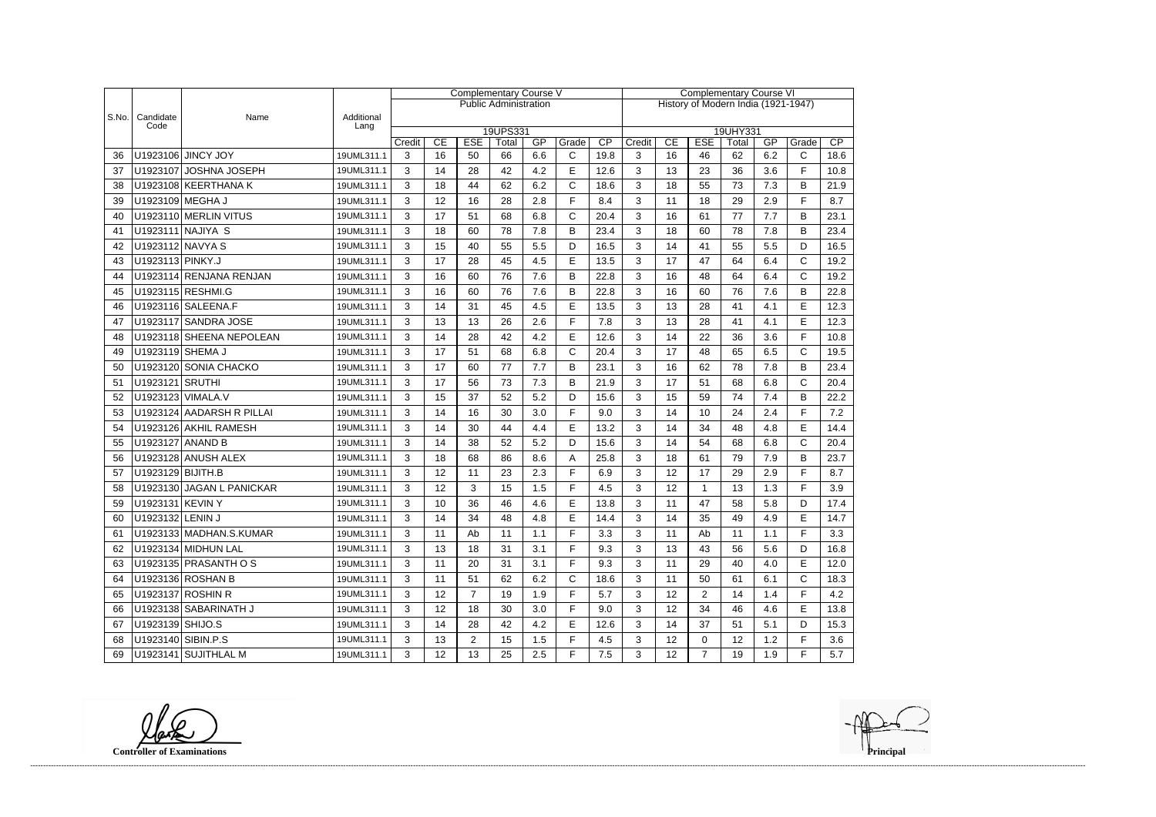|       |                    |                           |                    | <b>Complementary Course V</b> |    |                |                              |     |              |                                     | <b>Complementary Course VI</b> |    |                |                   |     |              |      |  |
|-------|--------------------|---------------------------|--------------------|-------------------------------|----|----------------|------------------------------|-----|--------------|-------------------------------------|--------------------------------|----|----------------|-------------------|-----|--------------|------|--|
|       |                    |                           |                    |                               |    |                | <b>Public Administration</b> |     |              | History of Modern India (1921-1947) |                                |    |                |                   |     |              |      |  |
| S.No. | Candidate<br>Code  | Name                      | Additional<br>Lang |                               |    |                |                              |     |              |                                     |                                |    |                |                   |     |              |      |  |
|       |                    |                           |                    | Credit                        | CE | <b>ESE</b>     | 19UPS331<br>Total            | GP  | Grade        | $\overline{CP}$                     | Credit                         | CE | <b>ESE</b>     | 19UHY331<br>Total | GP  | Grade        | CP   |  |
| 36    |                    | U1923106 JINCY JOY        | 19UML311.1         | 3                             | 16 | 50             | 66                           | 6.6 | $\mathsf{C}$ | 19.8                                | 3                              | 16 | 46             | 62                | 6.2 | $\mathsf{C}$ | 18.6 |  |
| 37    |                    | U1923107 JOSHNA JOSEPH    | 19UML311.1         | 3                             | 14 | 28             | 42                           | 4.2 | E            | 12.6                                | 3                              | 13 | 23             | 36                | 3.6 | F            | 10.8 |  |
| 38    |                    | U1923108 KEERTHANA K      | 19UML311.1         | 3                             | 18 | 44             | 62                           | 6.2 | C            | 18.6                                | 3                              | 18 | 55             | 73                | 7.3 | B            | 21.9 |  |
| 39    | U1923109 MEGHA J   |                           | 19UML311.1         | 3                             | 12 | 16             | 28                           | 2.8 | F.           | 8.4                                 | 3                              | 11 | 18             | 29                | 2.9 | F.           | 8.7  |  |
| 40    |                    | U1923110 MERLIN VITUS     | 19UML311.1         | 3                             | 17 | 51             | 68                           | 6.8 | C            | 20.4                                | 3                              | 16 | 61             | 77                | 7.7 | B            | 23.1 |  |
| 41    |                    | U1923111 NAJIYA S         | 19UML311.1         | 3                             | 18 | 60             | 78                           | 7.8 | B            | 23.4                                | 3                              | 18 | 60             | 78                | 7.8 | B            | 23.4 |  |
| 42    | U1923112 NAVYA S   |                           | 19UML311.1         | 3                             | 15 | 40             | 55                           | 5.5 | D            | 16.5                                | 3                              | 14 | 41             | 55                | 5.5 | D            | 16.5 |  |
| 43    | U1923113 PINKY.J   |                           | 19UML311.1         | 3                             | 17 | 28             | 45                           | 4.5 | E            | 13.5                                | 3                              | 17 | 47             | 64                | 6.4 | C            | 19.2 |  |
| 44    |                    | U1923114 RENJANA RENJAN   | 19UML311.1         | 3                             | 16 | 60             | 76                           | 7.6 | B            | 22.8                                | 3                              | 16 | 48             | 64                | 6.4 | $\mathsf{C}$ | 19.2 |  |
| 45    |                    | U1923115 RESHMI.G         | 19UML311.1         | 3                             | 16 | 60             | 76                           | 7.6 | B            | 22.8                                | 3                              | 16 | 60             | 76                | 7.6 | B            | 22.8 |  |
| 46    |                    | U1923116 SALEENA.F        | 19UML311.1         | 3                             | 14 | 31             | 45                           | 4.5 | E            | 13.5                                | 3                              | 13 | 28             | 41                | 4.1 | E            | 12.3 |  |
| 47    |                    | U1923117 SANDRA JOSE      | 19UML311.1         | 3                             | 13 | 13             | 26                           | 2.6 | F.           | 7.8                                 | 3                              | 13 | 28             | 41                | 4.1 | E            | 12.3 |  |
| 48    |                    | U1923118 SHEENA NEPOLEAN  | 19UML311.1         | 3                             | 14 | 28             | 42                           | 4.2 | E            | 12.6                                | 3                              | 14 | 22             | 36                | 3.6 | F            | 10.8 |  |
| 49    | U1923119 SHEMA J   |                           | 19UML311.1         | 3                             | 17 | 51             | 68                           | 6.8 | $\mathsf{C}$ | 20.4                                | 3                              | 17 | 48             | 65                | 6.5 | $\mathsf{C}$ | 19.5 |  |
| 50    |                    | U1923120 SONIA CHACKO     | 19UML311.1         | 3                             | 17 | 60             | 77                           | 7.7 | B            | 23.1                                | 3                              | 16 | 62             | 78                | 7.8 | B            | 23.4 |  |
| 51    | U1923121 SRUTHI    |                           | 19UML311.1         | 3                             | 17 | 56             | 73                           | 7.3 | B            | 21.9                                | 3                              | 17 | 51             | 68                | 6.8 | $\mathsf{C}$ | 20.4 |  |
| 52    |                    | U1923123 VIMALA.V         | 19UML311.1         | 3                             | 15 | 37             | 52                           | 5.2 | D            | 15.6                                | 3                              | 15 | 59             | 74                | 7.4 | B            | 22.2 |  |
| 53    |                    | U1923124 AADARSH R PILLAI | 19UML311.1         | 3                             | 14 | 16             | 30                           | 3.0 | F.           | 9.0                                 | 3                              | 14 | 10             | 24                | 2.4 | F.           | 7.2  |  |
| 54    |                    | U1923126 AKHIL RAMESH     | 19UML311.1         | 3                             | 14 | 30             | 44                           | 4.4 | E            | 13.2                                | 3                              | 14 | 34             | 48                | 4.8 | E            | 14.4 |  |
| 55    | U1923127 ANAND B   |                           | 19UML311.1         | 3                             | 14 | 38             | 52                           | 5.2 | D            | 15.6                                | 3                              | 14 | 54             | 68                | 6.8 | C            | 20.4 |  |
| 56    |                    | U1923128 ANUSH ALEX       | 19UML311.1         | 3                             | 18 | 68             | 86                           | 8.6 | Α            | 25.8                                | 3                              | 18 | 61             | 79                | 7.9 | B            | 23.7 |  |
| 57    | U1923129 BIJITH.B  |                           | 19UML311.1         | 3                             | 12 | 11             | 23                           | 2.3 | F.           | 6.9                                 | 3                              | 12 | 17             | 29                | 2.9 | F            | 8.7  |  |
| 58    |                    | U1923130 JAGAN L PANICKAR | 19UML311.1         | 3                             | 12 | 3              | 15                           | 1.5 | F            | 4.5                                 | 3                              | 12 | 1              | 13                | 1.3 | F            | 3.9  |  |
| 59    | U1923131 KEVIN Y   |                           | 19UML311.1         | 3                             | 10 | 36             | 46                           | 4.6 | E            | 13.8                                | 3                              | 11 | 47             | 58                | 5.8 | D            | 17.4 |  |
| 60    | U1923132 LENIN J   |                           | 19UML311.1         | 3                             | 14 | 34             | 48                           | 4.8 | E            | 14.4                                | 3                              | 14 | 35             | 49                | 4.9 | F            | 14.7 |  |
| 61    |                    | U1923133 MADHAN.S.KUMAR   | 19UML311.1         | 3                             | 11 | Ab             | 11                           | 1.1 | F            | 3.3                                 | 3                              | 11 | Ab             | 11                | 1.1 | F            | 3.3  |  |
| 62    |                    | U1923134 MIDHUN LAL       | 19UML311.1         | 3                             | 13 | 18             | 31                           | 3.1 | F.           | 9.3                                 | 3                              | 13 | 43             | 56                | 5.6 | D            | 16.8 |  |
| 63    |                    | U1923135 PRASANTH O S     | 19UML311.1         | 3                             | 11 | 20             | 31                           | 3.1 | F.           | 9.3                                 | 3                              | 11 | 29             | 40                | 4.0 | E            | 12.0 |  |
| 64    |                    | U1923136 ROSHAN B         | 19UML311.1         | 3                             | 11 | 51             | 62                           | 6.2 | $\mathsf{C}$ | 18.6                                | 3                              | 11 | 50             | 61                | 6.1 | $\mathsf{C}$ | 18.3 |  |
| 65    |                    | U1923137 ROSHIN R         | 19UML311.1         | 3                             | 12 | $\overline{7}$ | 19                           | 1.9 | F            | 5.7                                 | 3                              | 12 | $\overline{2}$ | 14                | 1.4 | F.           | 4.2  |  |
| 66    |                    | U1923138 SABARINATH J     | 19UML311.1         | 3                             | 12 | 18             | 30                           | 3.0 | F.           | 9.0                                 | 3                              | 12 | 34             | 46                | 4.6 | E            | 13.8 |  |
| 67    | U1923139 SHIJO.S   |                           | 19UML311.1         | 3                             | 14 | 28             | 42                           | 4.2 | Е            | 12.6                                | 3                              | 14 | 37             | 51                | 5.1 | D            | 15.3 |  |
| 68    | U1923140 SIBIN.P.S |                           | 19UML311.1         | 3                             | 13 | $\overline{2}$ | 15                           | 1.5 | F            | 4.5                                 | 3                              | 12 | 0              | 12                | 1.2 | F            | 3.6  |  |
| 69    |                    | U1923141 SUJITHLAL M      | 19UML311.1         | 3                             | 12 | 13             | 25                           | 2.5 | F.           | $7.5\,$                             | 3                              | 12 | $\overline{7}$ | 19                | 1.9 | F            | 5.7  |  |

**Controller of Examinations Principal**

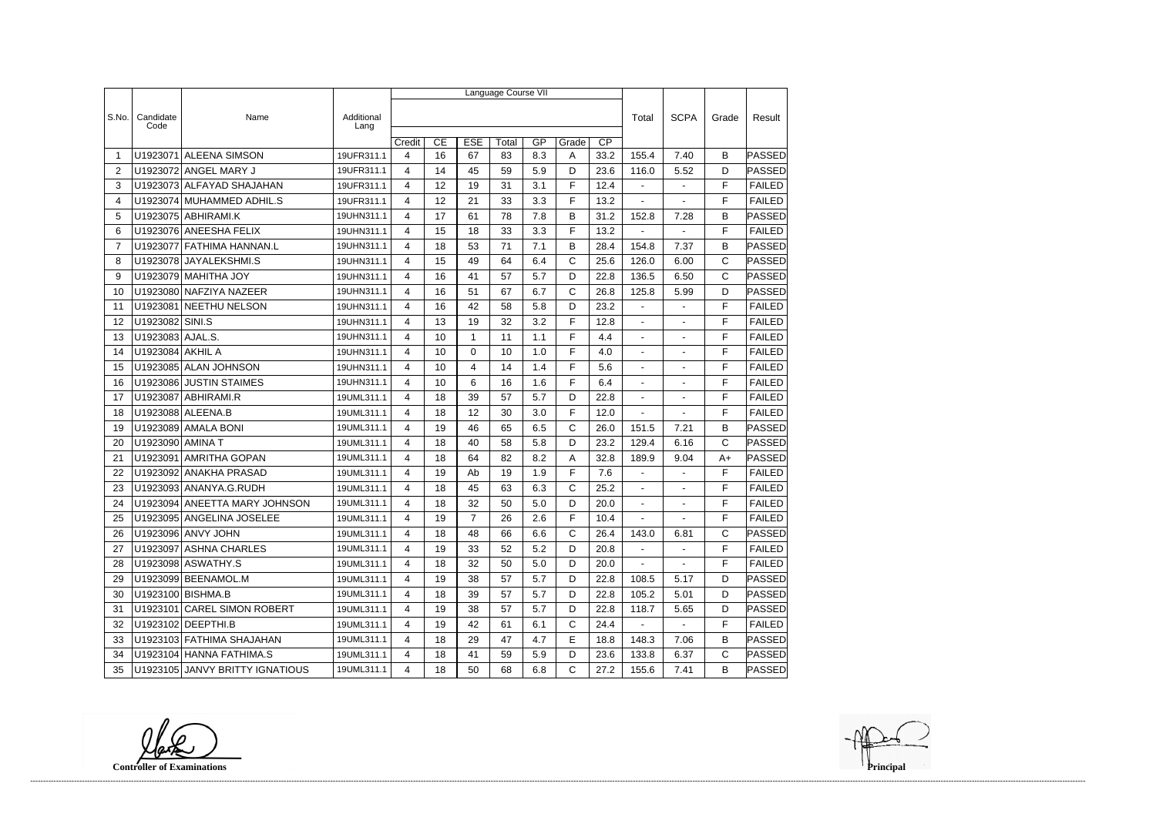|                |                   |                                 |                    | Language Course VII |    |                |       |     |              |                 |                          |                          |              |               |  |
|----------------|-------------------|---------------------------------|--------------------|---------------------|----|----------------|-------|-----|--------------|-----------------|--------------------------|--------------------------|--------------|---------------|--|
|                |                   |                                 |                    |                     |    |                |       |     |              |                 |                          |                          |              | Result        |  |
| S.No.          | Candidate<br>Code | Name                            | Additional<br>Lang |                     |    |                |       |     |              |                 | Total                    | <b>SCPA</b>              | Grade        |               |  |
|                |                   |                                 |                    | Credit              | CE | <b>ESE</b>     | Total | GP  | Grade        | $\overline{CP}$ |                          |                          |              |               |  |
| -1             | U1923071          | <b>ALEENA SIMSON</b>            | 19UFR311.1         | 4                   | 16 | 67             | 83    | 8.3 | A            | 33.2            | 155.4                    | 7.40                     | B            | PASSED        |  |
| 2              |                   | U1923072 ANGEL MARY J           | 19UFR311.1         | 4                   | 14 | 45             | 59    | 5.9 | D            | 23.6            | 116.0                    | 5.52                     | D            | <b>PASSED</b> |  |
| 3              |                   | U1923073 ALFAYAD SHAJAHAN       | 19UFR311.1         | 4                   | 12 | 19             | 31    | 3.1 | F            | 12.4            | $\blacksquare$           |                          | F            | <b>FAILED</b> |  |
| 4              |                   | U1923074 MUHAMMED ADHIL.S       | 19UFR311.1         | 4                   | 12 | 21             | 33    | 3.3 | F            | 13.2            | $\mathbf{r}$             |                          | F            | <b>FAILED</b> |  |
| 5              |                   | U1923075 ABHIRAMI.K             | 19UHN311.1         | 4                   | 17 | 61             | 78    | 7.8 | B            | 31.2            | 152.8                    | 7.28                     | B            | <b>PASSED</b> |  |
| 6              |                   | U1923076 ANEESHA FELIX          | 19UHN311.1         | 4                   | 15 | 18             | 33    | 3.3 | F            | 13.2            |                          |                          | F            | <b>FAILED</b> |  |
| $\overline{7}$ |                   | U1923077 FATHIMA HANNAN.L       | 19UHN311.1         | 4                   | 18 | 53             | 71    | 7.1 | B            | 28.4            | 154.8                    | 7.37                     | B            | <b>PASSED</b> |  |
| 8              |                   | U1923078 JAYALEKSHMI.S          | 19UHN311.1         | 4                   | 15 | 49             | 64    | 6.4 | C            | 25.6            | 126.0                    | 6.00                     | C            | <b>PASSED</b> |  |
| 9              |                   | U1923079 MAHITHA JOY            | 19UHN311.1         | 4                   | 16 | 41             | 57    | 5.7 | D            | 22.8            | 136.5                    | 6.50                     | $\mathsf{C}$ | PASSED        |  |
| 10             |                   | U1923080 NAFZIYA NAZEER         | 19UHN311.1         | 4                   | 16 | 51             | 67    | 6.7 | C            | 26.8            | 125.8                    | 5.99                     | D            | PASSED        |  |
| 11             | U1923081          | NEETHU NELSON                   | 19UHN311.1         | 4                   | 16 | 42             | 58    | 5.8 | D            | 23.2            | $\blacksquare$           | $\blacksquare$           | F            | <b>FAILED</b> |  |
| 12             | U1923082 SINI.S   |                                 | 19UHN311.1         | 4                   | 13 | 19             | 32    | 3.2 | F            | 12.8            | $\blacksquare$           | $\blacksquare$           | F            | <b>FAILED</b> |  |
| 13             | U1923083 AJAL.S.  |                                 | 19UHN311.1         | 4                   | 10 | 1              | 11    | 1.1 | F            | 4.4             | $\overline{\phantom{a}}$ |                          | F            | <b>FAILED</b> |  |
| 14             | U1923084 AKHIL A  |                                 | 19UHN311.1         | 4                   | 10 | 0              | 10    | 1.0 | F            | 4.0             | $\mathbf{r}$             |                          | F            | <b>FAILED</b> |  |
| 15             |                   | U1923085 ALAN JOHNSON           | 19UHN311.1         | 4                   | 10 | 4              | 14    | 1.4 | F            | 5.6             | $\sim$                   | $\blacksquare$           | F            | <b>FAILED</b> |  |
| 16             |                   | U1923086 JUSTIN STAIMES         | 19UHN311.1         | 4                   | 10 | 6              | 16    | 1.6 | F            | 6.4             |                          |                          | F            | <b>FAILED</b> |  |
| 17             |                   | U1923087 ABHIRAMI.R             | 19UML311.1         | 4                   | 18 | 39             | 57    | 5.7 | D            | 22.8            | $\blacksquare$           |                          | F            | <b>FAILED</b> |  |
| 18             |                   | U1923088 ALEENA.B               | 19UML311.1         | 4                   | 18 | 12             | 30    | 3.0 | F            | 12.0            | $\blacksquare$           | $\overline{\phantom{a}}$ | F            | <b>FAILED</b> |  |
| 19             |                   | U1923089 AMALA BONI             | 19UML311.1         | $\overline{4}$      | 19 | 46             | 65    | 6.5 | $\mathsf C$  | 26.0            | 151.5                    | 7.21                     | B            | PASSED        |  |
| 20             | U1923090 AMINA T  |                                 | 19UML311.1         | 4                   | 18 | 40             | 58    | 5.8 | D            | 23.2            | 129.4                    | 6.16                     | $\mathsf{C}$ | PASSED        |  |
| 21             | U1923091          | <b>AMRITHA GOPAN</b>            | 19UML311.1         | 4                   | 18 | 64             | 82    | 8.2 | Α            | 32.8            | 189.9                    | 9.04                     | $A+$         | PASSED        |  |
| 22             |                   | U1923092 ANAKHA PRASAD          | 19UML311.1         | 4                   | 19 | Ab             | 19    | 1.9 | F            | 7.6             | $\blacksquare$           | $\overline{a}$           | F            | <b>FAILED</b> |  |
| 23             |                   | U1923093 ANANYA.G.RUDH          | 19UML311.1         | 4                   | 18 | 45             | 63    | 6.3 | C            | 25.2            | $\blacksquare$           | $\blacksquare$           | F            | <b>FAILED</b> |  |
| 24             |                   | U1923094 ANEETTA MARY JOHNSON   | 19UML311.1         | 4                   | 18 | 32             | 50    | 5.0 | D            | 20.0            | $\blacksquare$           |                          | F            | <b>FAILED</b> |  |
| 25             |                   | U1923095 ANGELINA JOSELEE       | 19UML311.1         | 4                   | 19 | $\overline{7}$ | 26    | 2.6 | F            | 10.4            | $\sim$                   | $\sim$                   | F            | FAILED        |  |
| 26             |                   | U1923096 ANVY JOHN              | 19UML311.1         | 4                   | 18 | 48             | 66    | 6.6 | $\mathsf{C}$ | 26.4            | 143.0                    | 6.81                     | C            | <b>PASSED</b> |  |
| 27             |                   | U1923097 ASHNA CHARLES          | 19UML311.1         | 4                   | 19 | 33             | 52    | 5.2 | D            | 20.8            | $\blacksquare$           | $\blacksquare$           | F            | <b>FAILED</b> |  |
| 28             |                   | U1923098 ASWATHY.S              | 19UML311.1         | 4                   | 18 | 32             | 50    | 5.0 | D            | 20.0            | $\sim$                   | $\blacksquare$           | F            | <b>FAILED</b> |  |
| 29             |                   | U1923099 BEENAMOL.M             | 19UML311.1         | 4                   | 19 | 38             | 57    | 5.7 | D            | 22.8            | 108.5                    | 5.17                     | D            | PASSED        |  |
| 30             |                   | U1923100 BISHMA.B               | 19UML311.1         | 4                   | 18 | 39             | 57    | 5.7 | D            | 22.8            | 105.2                    | 5.01                     | D            | PASSED        |  |
| 31             |                   | U1923101 CAREL SIMON ROBERT     | 19UML311.1         | 4                   | 19 | 38             | 57    | 5.7 | D            | 22.8            | 118.7                    | 5.65                     | D            | PASSED        |  |
| 32             |                   | U1923102 DEEPTHI.B              | 19UML311.1         | 4                   | 19 | 42             | 61    | 6.1 | C            | 24.4            | $\sim$                   | $\omega$                 | F            | <b>FAILED</b> |  |
| 33             |                   | U1923103 FATHIMA SHAJAHAN       | 19UML311.1         | 4                   | 18 | 29             | 47    | 4.7 | E.           | 18.8            | 148.3                    | 7.06                     | В            | PASSED        |  |
| 34             |                   | U1923104 HANNA FATHIMA.S        | 19UML311.1         | 4                   | 18 | 41             | 59    | 5.9 | D            | 23.6            | 133.8                    | 6.37                     | C            | <b>PASSED</b> |  |
| 35             |                   | U1923105 JANVY BRITTY IGNATIOUS | 19UML311.1         | 4                   | 18 | 50             | 68    | 6.8 | $\mathsf{C}$ | 27.2            | 155.6                    | 7.41                     | B            | <b>PASSED</b> |  |

**Controller of Examinations**